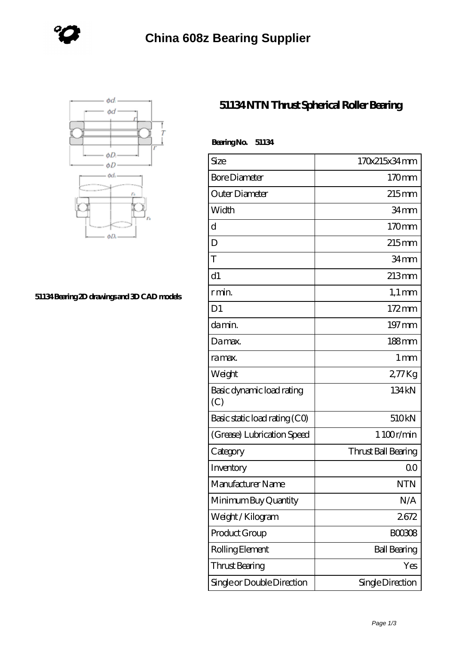



## **[51134 Bearing 2D drawings and 3D CAD models](https://www.holyland-wholesale.com/pic-1113994.html)**

## **[51134 NTN Thrust Spherical Roller Bearing](https://www.holyland-wholesale.com/tapered-roller-bearing/51134.html)**

| <b>BearingNo.</b><br>51134       |                     |
|----------------------------------|---------------------|
| Size                             | 170x215x34mm        |
| <b>Bore Diameter</b>             | 170mm               |
| Outer Diameter                   | $215$ mm            |
| Width                            | 34 <sub>mm</sub>    |
| d                                | 170mm               |
| D                                | $215$ mm            |
| T                                | 34mm                |
| d1                               | $213 \text{mm}$     |
| r min.                           | $1,1 \text{ mm}$    |
| D <sub>1</sub>                   | $172 \,\mathrm{mm}$ |
| da min.                          | 197 mm              |
| Damax.                           | $188 \text{mm}$     |
| ra max.                          | 1 <sub>mm</sub>     |
| Weight                           | 277Kg               |
| Basic dynamic load rating<br>(C) | 134 kN              |
| Basic static load rating (CO)    | 510kN               |
| (Grease) Lubrication Speed       | 1 100r/min          |
| Category                         | Thrust Ball Bearing |
| Inventory                        | 0 <sup>0</sup>      |
| Manufacturer Name                | NTN                 |
| Minimum Buy Quantity             | N/A                 |
| Weight / Kilogram                | 2672                |
| Product Group                    | <b>BOO3O8</b>       |
| Rolling Element                  | <b>Ball Bearing</b> |
| Thrust Bearing                   | Yes                 |
| Single or Double Direction       | Single Direction    |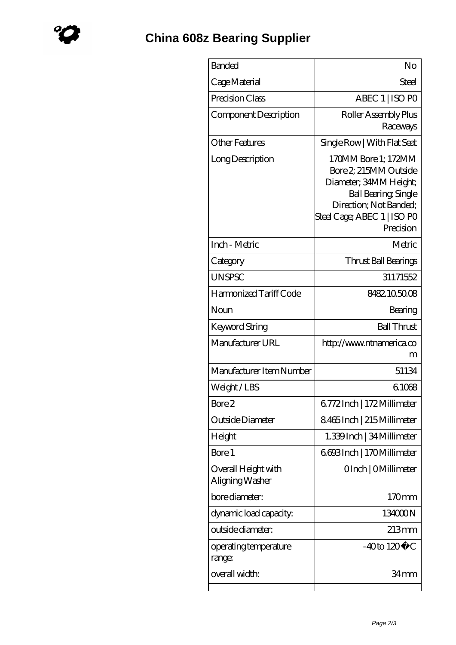| <b>Banded</b>                          | No                                                                                                                                                                         |
|----------------------------------------|----------------------------------------------------------------------------------------------------------------------------------------------------------------------------|
| Cage Material                          | Steel                                                                                                                                                                      |
| Precision Class                        | ABEC 1   ISO PO                                                                                                                                                            |
| Component Description                  | Roller Assembly Plus<br>Raceways                                                                                                                                           |
| <b>Other Features</b>                  | Single Row   With Flat Seat                                                                                                                                                |
| Long Description                       | 170MM Bore 1; 172MM<br>Bore 2 215MM Outside<br>Diameter; 34MM Height;<br><b>Ball Bearing, Single</b><br>Direction; Not Banded;<br>Steel Cage; ABEC 1   ISO PO<br>Precision |
| Inch - Metric                          | Metric                                                                                                                                                                     |
| Category                               | Thrust Ball Bearings                                                                                                                                                       |
| <b>UNSPSC</b>                          | 31171552                                                                                                                                                                   |
| Harmonized Tariff Code                 | 8482105008                                                                                                                                                                 |
| Noun                                   | Bearing                                                                                                                                                                    |
| Keyword String                         | <b>Ball Thrust</b>                                                                                                                                                         |
| Manufacturer URL                       | http://www.ntnamerica.co<br>m                                                                                                                                              |
| Manufacturer Item Number               | 51134                                                                                                                                                                      |
| Weight/LBS                             | 61068                                                                                                                                                                      |
| Bore 2                                 | 6.772Inch   172Millimeter                                                                                                                                                  |
| Outside Diameter                       | 8465Inch   215Millimeter                                                                                                                                                   |
| Height                                 | 1.339 Inch   34 Millimeter                                                                                                                                                 |
| Bore 1                                 | 6693Inch   170Millimeter                                                                                                                                                   |
| Overall Height with<br>Aligning Washer | OInch   OMillimeter                                                                                                                                                        |
| bore diameter:                         | 170mm                                                                                                                                                                      |
| dynamic load capacity:                 | 134000N                                                                                                                                                                    |
| outside diameter:                      | $213 \text{mm}$                                                                                                                                                            |
| operating temperature<br>range:        | $-40$ to $120^{\circ}$ C                                                                                                                                                   |
| overall width:                         | 34 mm                                                                                                                                                                      |
|                                        |                                                                                                                                                                            |